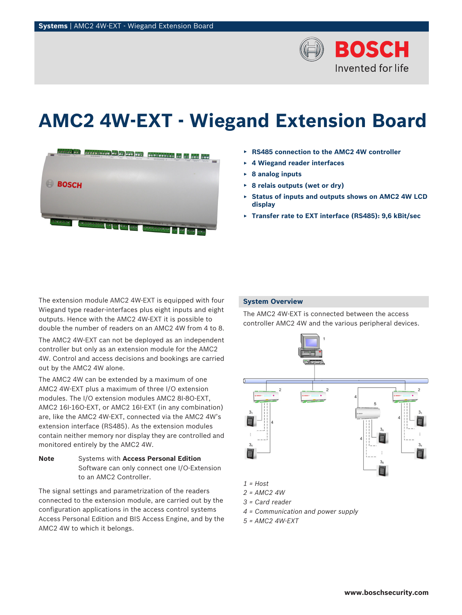

# **AMC2 4W-EXT - Wiegand Extension Board**



- ▶ **RS485 connection to the AMC2 4W controller**
- ▶ **4 Wiegand reader interfaces**
- ▶ **8 analog inputs**
- ▶ **8 relais outputs (wet or dry)**
- **Status of inputs and outputs shows on AMC2 4W LCD display**
- ▶ **Transfer rate to EXT interface (RS485): 9,6 kBit/sec**

The extension module AMC2 4W-EXT is equipped with four Wiegand type reader-interfaces plus eight inputs and eight outputs. Hence with the AMC2 4W-EXT it is possible to double the number of readers on an AMC2 4W from 4 to 8.

The AMC2 4W-EXT can not be deployed as an independent controller but only as an extension module for the AMC2 4W. Control and access decisions and bookings are carried out by the AMC2 4W alone.

The AMC2 4W can be extended by a maximum of one AMC2 4W-EXT plus a maximum of three I/O extension modules. The I/O extension modules AMC2 8I-8O-EXT, AMC2 16I-16O-EXT, or AMC2 16I-EXT (in any combination) are, like the AMC2 4W-EXT, connected via the AMC2 4W's extension interface (RS485). As the extension modules contain neither memory nor display they are controlled and monitored entirely by the AMC2 4W.

**Note** Systems with **Access Personal Edition** Software can only connect one I/O-Extension to an AMC2 Controller.

The signal settings and parametrization of the readers connected to the extension module, are carried out by the configuration applications in the access control systems Access Personal Edition and BIS Access Engine, and by the AMC2 4W to which it belongs.

# **System Overview**

The AMC2 4W-EXT is connected between the access controller AMC2 4W and the various peripheral devices.



- *2 = AMC2 4W*
- *3 = Card reader*
- *4 = Communication and power supply*
- *5 = AMC2 4W-EXT*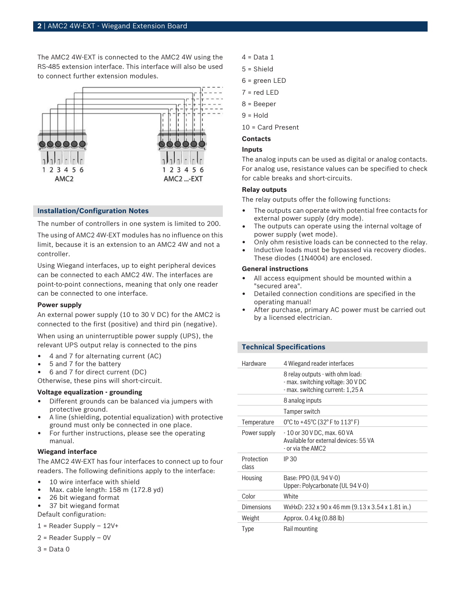The AMC2 4W-EXT is connected to the AMC2 4W using the RS-485 extension interface. This interface will also be used to connect further extension modules.



### **Installation/Configuration Notes**

The number of controllers in one system is limited to 200.

The using of AMC2 4W-EXT modules has no influence on this limit, because it is an extension to an AMC2 4W and not a controller.

Using Wiegand interfaces, up to eight peripheral devices can be connected to each AMC2 4W. The interfaces are point-to-point connections, meaning that only one reader can be connected to one interface.

### **Power supply**

An external power supply (10 to 30 V DC) for the AMC2 is connected to the first (positive) and third pin (negative).

When using an uninterruptible power supply (UPS), the relevant UPS output relay is connected to the pins

- 4 and 7 for alternating current (AC)
- 5 and 7 for the battery
- 6 and 7 for direct current (DC)

Otherwise, these pins will short-circuit.

# **Voltage equalization - grounding**

- Different grounds can be balanced via jumpers with protective ground.
- A line (shielding, potential equalization) with protective ground must only be connected in one place.
- For further instructions, please see the operating manual.

# **Wiegand interface**

The AMC2 4W-EXT has four interfaces to connect up to four readers. The following definitions apply to the interface:

- 10 wire interface with shield
- Max. cable length: 158 m (172.8 yd)
- 26 bit wiegand format
- 37 bit wiegand format

Default configuration:

- 1 = Reader Supply 12V+
- 2 = Reader Supply 0V
- $3$  = Data 0
- $4$  = Data 1
- 5 = Shield
- 6 = green LED
- 7 = red LED
- 8 = Beeper
- $9 =$  Hold
- 10 = Card Present

# **Contacts**

# **Inputs**

The analog inputs can be used as digital or analog contacts. For analog use, resistance values can be specified to check for cable breaks and short-circuits.

# **Relay outputs**

The relay outputs offer the following functions:

- The outputs can operate with potential free contacts for external power supply (dry mode).
- The outputs can operate using the internal voltage of power supply (wet mode).
- Only ohm resistive loads can be connected to the relay.
- Inductive loads must be bypassed via recovery diodes.
- These diodes (1N4004) are enclosed.

# **General instructions**

- All access equipment should be mounted within a "secured area".
- Detailed connection conditions are specified in the operating manual!
- After purchase, primary AC power must be carried out by a licensed electrician.

### **Technical Specifications**

| <b>Hardware</b>     | 4 Wiegand reader interfaces                                                                               |
|---------------------|-----------------------------------------------------------------------------------------------------------|
|                     | 8 relay outputs - with ohm load:<br>- max. switching voltage: 30 V DC<br>- max. switching current: 1,25 A |
|                     | 8 analog inputs                                                                                           |
|                     | Tamper switch                                                                                             |
| Temperature         | 0°C to +45°C (32°F to $113$ °F)                                                                           |
| Power supply        | - 10 or 30 V DC, max. 60 VA<br>Available for external devices: 55 VA<br>- or via the AMC2                 |
| Protection<br>class | IP 30                                                                                                     |
| <b>Housing</b>      | Base: PPO (UL 94 V-0)<br>Upper: Polycarbonate (UL 94 V-0)                                                 |
| Color               | White                                                                                                     |
| <b>Dimensions</b>   | WxHxD: 232 x 90 x 46 mm (9.13 x 3.54 x 1.81 in.)                                                          |
| Weight              | Approx. 0.4 kg (0.88 lb)                                                                                  |
| Type                | Rail mounting                                                                                             |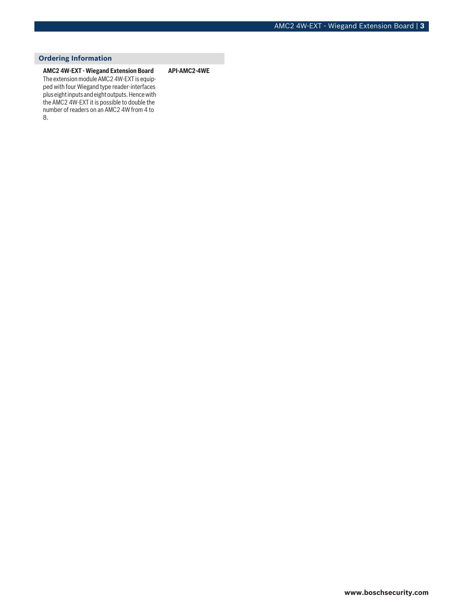# **Ordering Information**

**AMC2 4W-EXT - Wiegand Extension Board** The extension module AMC2 4W-EXT is equipped with four Wiegand type reader-interfaces plus eight inputs and eight outputs. Hence with the AMC2 4W-EXT it is possible to double the number of readers on an AMC2 4W from 4 to 8.

**API-AMC2-4WE**